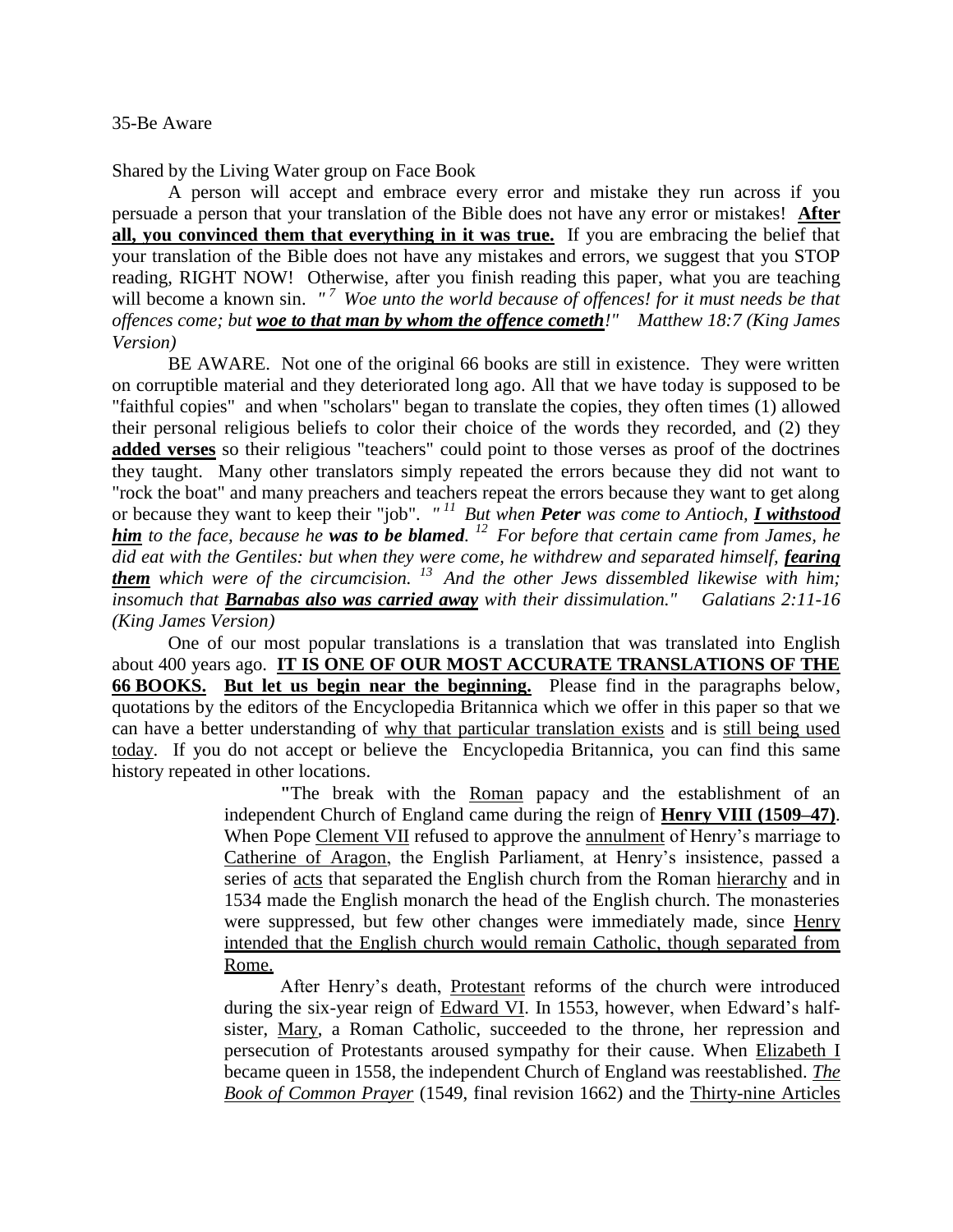Shared by the Living Water group on Face Book

A person will accept and embrace every error and mistake they run across if you persuade a person that your translation of the Bible does not have any error or mistakes! **After all, you convinced them that everything in it was true.** If you are embracing the belief that your translation of the Bible does not have any mistakes and errors, we suggest that you STOP reading, RIGHT NOW! Otherwise, after you finish reading this paper, what you are teaching will become a known sin. "<sup>7</sup> Woe unto the world because of offences! for it must needs be that *offences come; but woe to that man by whom the offence cometh!" Matthew 18:7 (King James Version)* 

BE AWARE. Not one of the original 66 books are still in existence. They were written on corruptible material and they deteriorated long ago. All that we have today is supposed to be "faithful copies" and when "scholars" began to translate the copies, they often times (1) allowed their personal religious beliefs to color their choice of the words they recorded, and (2) they **added verses** so their religious "teachers" could point to those verses as proof of the doctrines they taught. Many other translators simply repeated the errors because they did not want to "rock the boat" and many preachers and teachers repeat the errors because they want to get along or because they want to keep their "job". *" <sup>11</sup>But when Peter was come to Antioch, I withstood him to the face, because he was to be blamed. <sup>12</sup>For before that certain came from James, he did eat with the Gentiles: but when they were come, he withdrew and separated himself, fearing them which were of the circumcision. <sup>13</sup>And the other Jews dissembled likewise with him; insomuch that Barnabas also was carried away with their dissimulation." Galatians 2:11-16 (King James Version)*

One of our most popular translations is a translation that was translated into English about 400 years ago. **IT IS ONE OF OUR MOST ACCURATE TRANSLATIONS OF THE 66 BOOKS. But let us begin near the beginning.** Please find in the paragraphs below, quotations by the editors of the [Encyclopedia Britannica](https://www.britannica.com/editor/The-Editors-of-Encyclopaedia-Britannica/4419) which we offer in this paper so that we can have a better understanding of why that particular translation exists and is still being used today. If you do not accept or believe the [Encyclopedia Britannica,](https://www.britannica.com/editor/The-Editors-of-Encyclopaedia-Britannica/4419) you can find this same history repeated in other locations.

> **"**The break with the [Roman](https://www.britannica.com/topic/history-of-Roman-Catholicism) papacy and the establishment of an independent Church of England came during the reign of **[Henry VIII](https://www.britannica.com/biography/Henry-VIII-king-of-England) (1509–47)**. When Pope [Clement VII](https://www.britannica.com/biography/Clement-VII-pope) refused to approve the [annulment](https://www.britannica.com/topic/annulment) of Henry's marriage to [Catherine of Aragon,](https://www.britannica.com/biography/Catherine-of-Aragon) the English Parliament, at Henry's insistence, passed a series of [acts](https://www.britannica.com/topic/Act-of-Supremacy-England-1534) that separated the English church from the Roman [hierarchy](https://www.merriam-webster.com/dictionary/hierarchy) and in 1534 made the English monarch the head of the English church. The monasteries were suppressed, but few other changes were immediately made, since Henry intended that the English church would remain Catholic, though separated from Rome.

> After Henry's death, [Protestant](https://www.britannica.com/topic/Protestantism) reforms of the church were introduced during the six-year reign of [Edward VI.](https://www.britannica.com/biography/Edward-VI) In 1553, however, when Edward's halfsister, [Mary,](https://www.britannica.com/biography/Mary-I) a Roman Catholic, succeeded to the throne, her repression and persecution of Protestants aroused sympathy for their cause. When [Elizabeth I](https://www.britannica.com/biography/Elizabeth-I) became queen in 1558, the independent Church of England was reestablished. *[The](https://www.britannica.com/topic/Book-of-Common-Prayer)  [Book of Common Prayer](https://www.britannica.com/topic/Book-of-Common-Prayer)* (1549, final revision 1662) and the [Thirty-nine Articles](https://www.britannica.com/topic/Thirty-nine-Articles)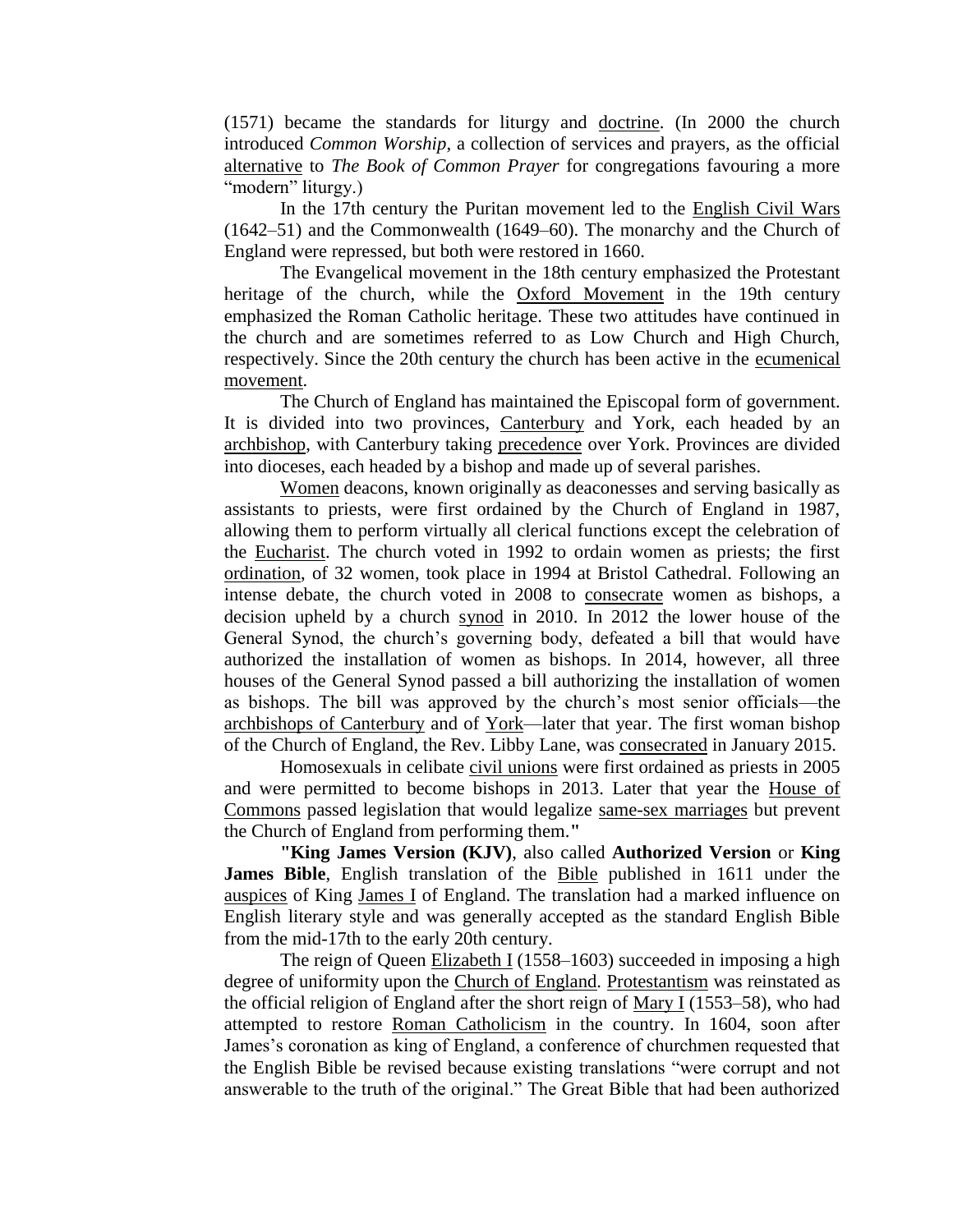(1571) became the standards for liturgy and [doctrine.](https://www.britannica.com/topic/doctrine) (In 2000 the church introduced *Common Worship*, a collection of services and prayers, as the official [alternative](https://www.merriam-webster.com/dictionary/alternative) to *The Book of Common Prayer* for congregations favouring a more "modern" liturgy.)

In the 17th century the Puritan movement led to the [English Civil Wars](https://www.britannica.com/event/English-Civil-Wars) (1642–51) and the Commonwealth (1649–60). The monarchy and the Church of England were repressed, but both were restored in 1660.

The Evangelical movement in the 18th century emphasized the Protestant heritage of the church, while the [Oxford Movement](https://www.britannica.com/event/Oxford-movement) in the 19th century emphasized the Roman Catholic heritage. These two attitudes have continued in the church and are sometimes referred to as Low Church and High Church, respectively. Since the 20th century the church has been active in the [ecumenical](https://www.britannica.com/topic/ecumenism)  [movement.](https://www.britannica.com/topic/ecumenism)

The Church of England has maintained the Episcopal form of government. It is divided into two provinces, [Canterbury](https://www.britannica.com/topic/archbishop-of-Canterbury) and York, each headed by an [archbishop,](https://www.britannica.com/topic/archbishop) with Canterbury taking [precedence](https://www.merriam-webster.com/dictionary/precedence) over York. Provinces are divided into dioceses, each headed by a bishop and made up of several parishes.

[Women](https://www.britannica.com/topic/women) deacons, known originally as deaconesses and serving basically as assistants to priests, were first ordained by the Church of England in 1987, allowing them to perform virtually all clerical functions except the celebration of the [Eucharist.](https://www.britannica.com/topic/Eucharist) The church voted in 1992 to ordain women as priests; the first [ordination,](https://www.britannica.com/topic/ordination) of 32 women, took place in 1994 at Bristol Cathedral. Following an intense debate, the church voted in 2008 to [consecrate](https://www.merriam-webster.com/dictionary/consecrate) women as bishops, a decision upheld by a church [synod](https://www.britannica.com/topic/synod) in 2010. In 2012 the lower house of the General Synod, the church's governing body, defeated a bill that would have authorized the installation of women as bishops. In 2014, however, all three houses of the General Synod passed a bill authorizing the installation of women as bishops. The bill was approved by the church's most senior officials—the [archbishops of Canterbury](https://www.britannica.com/topic/archbishop-of-Canterbury) and of [York—](https://www.britannica.com/place/York-England)later that year. The first woman bishop of the Church of England, the Rev. Libby Lane, was [consecrated](https://www.merriam-webster.com/dictionary/consecrated) in January 2015.

Homosexuals in celibate [civil unions](https://www.britannica.com/topic/civil-union) were first ordained as priests in 2005 and were permitted to become bishops in 2013. Later that year the [House of](https://www.britannica.com/topic/House-of-Commons-British-government)  [Commons](https://www.britannica.com/topic/House-of-Commons-British-government) passed legislation that would legalize [same-sex marriages](https://www.britannica.com/topic/same-sex-marriage) but prevent the Church of England from performing them.**"**

**"King James Version (KJV)**, also called **Authorized Version** or **King James Bible**, English translation of the [Bible](https://www.britannica.com/topic/Bible) published in 1611 under the [auspices](https://www.merriam-webster.com/dictionary/auspices) of King [James I](https://www.britannica.com/biography/James-I-king-of-England-and-Scotland) of England. The translation had a marked influence on English literary style and was generally accepted as the standard English Bible from the mid-17th to the early 20th century.

The reign of Queen [Elizabeth I](https://www.britannica.com/biography/Elizabeth-I) (1558–1603) succeeded in imposing a high degree of uniformity upon the [Church of England.](https://www.britannica.com/topic/Church-of-England) [Protestantism](https://www.britannica.com/topic/Protestantism) was reinstated as the official religion of England after the short reign of [Mary I](https://www.britannica.com/biography/Mary-I) (1553–58), who had attempted to restore [Roman Catholicism](https://www.britannica.com/topic/Roman-Catholicism) in the country. In 1604, soon after James's coronation as king of England, a conference of churchmen requested that the English Bible be revised because existing translations "were corrupt and not answerable to the truth of the original." The Great Bible that had been authorized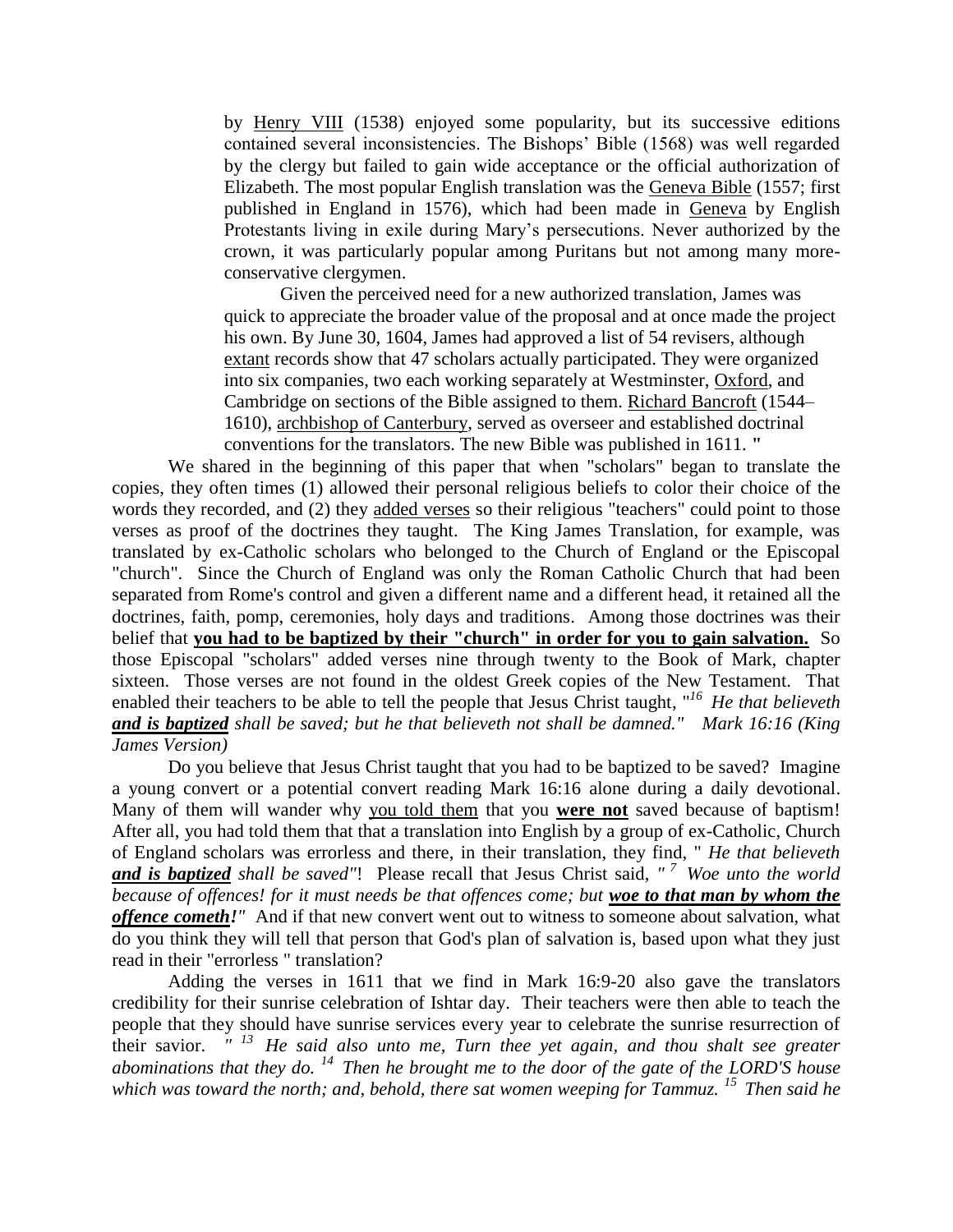by [Henry VIII](https://www.britannica.com/biography/Henry-VIII-king-of-England) (1538) enjoyed some popularity, but its successive editions contained several inconsistencies. The Bishops' Bible (1568) was well regarded by the clergy but failed to gain wide acceptance or the official authorization of Elizabeth. The most popular English translation was the [Geneva Bible](https://www.britannica.com/topic/Geneva-Bible) (1557; first published in England in 1576), which had been made in [Geneva](https://www.britannica.com/place/Geneva-Switzerland) by English Protestants living in exile during Mary's persecutions. Never authorized by the crown, it was particularly popular among Puritans but not among many moreconservative clergymen.

Given the perceived need for a new authorized translation, James was quick to appreciate the broader value of the proposal and at once made the project his own. By June 30, 1604, James had approved a list of 54 revisers, although [extant](https://www.merriam-webster.com/dictionary/extant) records show that 47 scholars actually participated. They were organized into six companies, two each working separately at Westminster, [Oxford,](https://www.britannica.com/place/Oxford-England) and Cambridge on sections of the Bible assigned to them. [Richard Bancroft](https://www.britannica.com/biography/Richard-Bancroft) (1544– 1610), [archbishop of Canterbury,](https://www.britannica.com/topic/archbishop-of-Canterbury) served as overseer and established doctrinal conventions for the translators. The new Bible was published in 1611. **"**

We shared in the beginning of this paper that when "scholars" began to translate the copies, they often times (1) allowed their personal religious beliefs to color their choice of the words they recorded, and (2) they added verses so their religious "teachers" could point to those verses as proof of the doctrines they taught. The King James Translation, for example, was translated by ex-Catholic scholars who belonged to the Church of England or the Episcopal "church". Since the Church of England was only the Roman Catholic Church that had been separated from Rome's control and given a different name and a different head, it retained all the doctrines, faith, pomp, ceremonies, holy days and traditions. Among those doctrines was their belief that **you had to be baptized by their "church" in order for you to gain salvation.** So those Episcopal "scholars" added verses nine through twenty to the Book of Mark, chapter sixteen. Those verses are not found in the oldest Greek copies of the New Testament. That enabled their teachers to be able to tell the people that Jesus Christ taught, "<sup>16</sup> He that believeth *and is baptized shall be saved; but he that believeth not shall be damned." Mark 16:16 (King James Version)* 

Do you believe that Jesus Christ taught that you had to be baptized to be saved? Imagine a young convert or a potential convert reading Mark 16:16 alone during a daily devotional. Many of them will wander why you told them that you **were not** saved because of baptism! After all, you had told them that that a translation into English by a group of ex-Catholic, Church of England scholars was errorless and there, in their translation, they find, " *He that believeth and is baptized shall be saved"*! Please recall that Jesus Christ said, *" <sup>7</sup>Woe unto the world because of offences! for it must needs be that offences come; but woe to that man by whom the offence cometh!"* And if that new convert went out to witness to someone about salvation, what do you think they will tell that person that God's plan of salvation is, based upon what they just read in their "errorless " translation?

Adding the verses in 1611 that we find in Mark 16:9-20 also gave the translators credibility for their sunrise celebration of Ishtar day. Their teachers were then able to teach the people that they should have sunrise services every year to celebrate the sunrise resurrection of their savior. *" <sup>13</sup>He said also unto me, Turn thee yet again, and thou shalt see greater abominations that they do. <sup>14</sup>Then he brought me to the door of the gate of the LORD'S house which was toward the north; and, behold, there sat women weeping for Tammuz. <sup>15</sup>Then said he*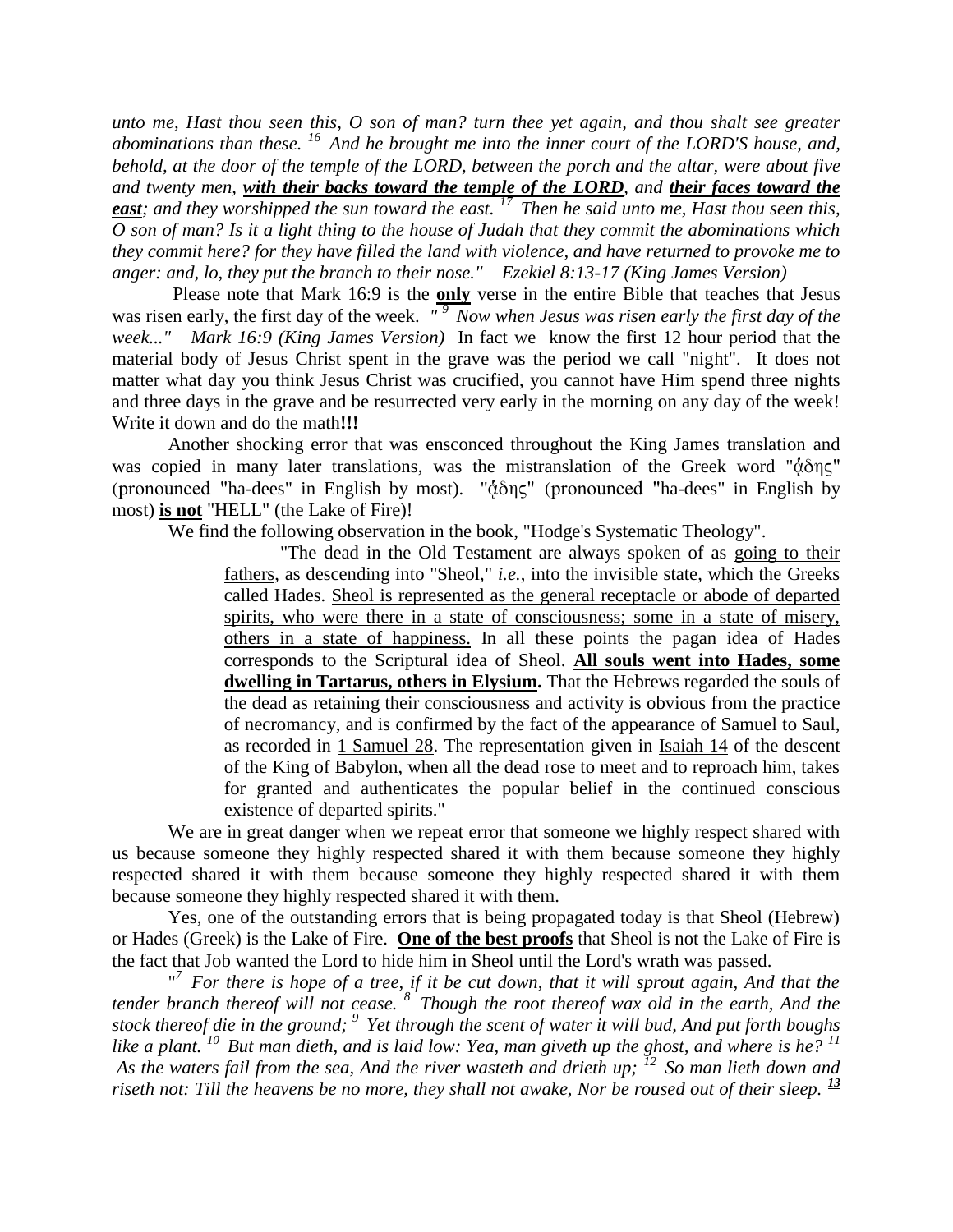*unto me, Hast thou seen this, O son of man? turn thee yet again, and thou shalt see greater abominations than these. <sup>16</sup>And he brought me into the inner court of the LORD'S house, and, behold, at the door of the temple of the LORD, between the porch and the altar, were about five and twenty men, with their backs toward the temple of the LORD, and their faces toward the east; and they worshipped the sun toward the east. <sup>17</sup>Then he said unto me, Hast thou seen this, O son of man? Is it a light thing to the house of Judah that they commit the abominations which they commit here? for they have filled the land with violence, and have returned to provoke me to anger: and, lo, they put the branch to their nose." Ezekiel 8:13-17 (King James Version)* 

Please note that Mark 16:9 is the **only** verse in the entire Bible that teaches that Jesus was risen early, the first day of the week. "<sup>9</sup> Now when Jesus was risen early the first day of the *week..." Mark 16:9 (King James Version)* In fact we know the first 12 hour period that the material body of Jesus Christ spent in the grave was the period we call "night". It does not matter what day you think Jesus Christ was crucified, you cannot have Him spend three nights and three days in the grave and be resurrected very early in the morning on any day of the week! Write it down and do the math**!!!**

Another shocking error that was ensconced throughout the King James translation and was copied in many later translations, was the mistranslation of the Greek word " $\dot{\alpha} \delta \eta \zeta$ " (pronounced "ha-dees" in English by most). " $\dot{\alpha} \delta \eta \zeta$ " (pronounced "ha-dees" in English by most) **is not** "HELL" (the Lake of Fire)!

We find the following observation in the book, "Hodge's Systematic Theology".

"The dead in the Old Testament are always spoken of as going to their fathers, as descending into "Sheol," *i.e.*, into the invisible state, which the Greeks called Hades. Sheol is represented as the general receptacle or abode of departed spirits, who were there in a state of consciousness; some in a state of misery, others in a state of happiness. In all these points the pagan idea of Hades corresponds to the Scriptural idea of Sheol. **All souls went into Hades, some dwelling in Tartarus, others in Elysium.** That the Hebrews regarded the souls of the dead as retaining their consciousness and activity is obvious from the practice of necromancy, and is confirmed by the fact of the appearance of Samuel to Saul, as recorded in [1 Samuel 28.](http://www.crossbooks.com/verse.asp?ref=1Sa+28) The representation given in [Isaiah 14](http://www.crossbooks.com/verse.asp?ref=Isa+14) of the descent of the King of Babylon, when all the dead rose to meet and to reproach him, takes for granted and authenticates the popular belief in the continued conscious existence of departed spirits."

We are in great danger when we repeat error that someone we highly respect shared with us because someone they highly respected shared it with them because someone they highly respected shared it with them because someone they highly respected shared it with them because someone they highly respected shared it with them.

Yes, one of the outstanding errors that is being propagated today is that Sheol (Hebrew) or Hades (Greek) is the Lake of Fire. **One of the best proofs** that Sheol is not the Lake of Fire is the fact that Job wanted the Lord to hide him in Sheol until the Lord's wrath was passed.

"<sup>7</sup> For there is hope of a tree, if it be cut down, that it will sprout again, And that the *tender branch thereof will not cease. <sup>8</sup>Though the root thereof wax old in the earth, And the stock thereof die in the ground; <sup>9</sup>Yet through the scent of water it will bud, And put forth boughs like a plant. <sup>10</sup>But man dieth, and is laid low: Yea, man giveth up the ghost, and where is he? <sup>11</sup> As the waters fail from the sea, And the river wasteth and drieth up; <sup>12</sup>So man lieth down and riseth not: Till the heavens be no more, they shall not awake, Nor be roused out of their sleep. <sup>13</sup>*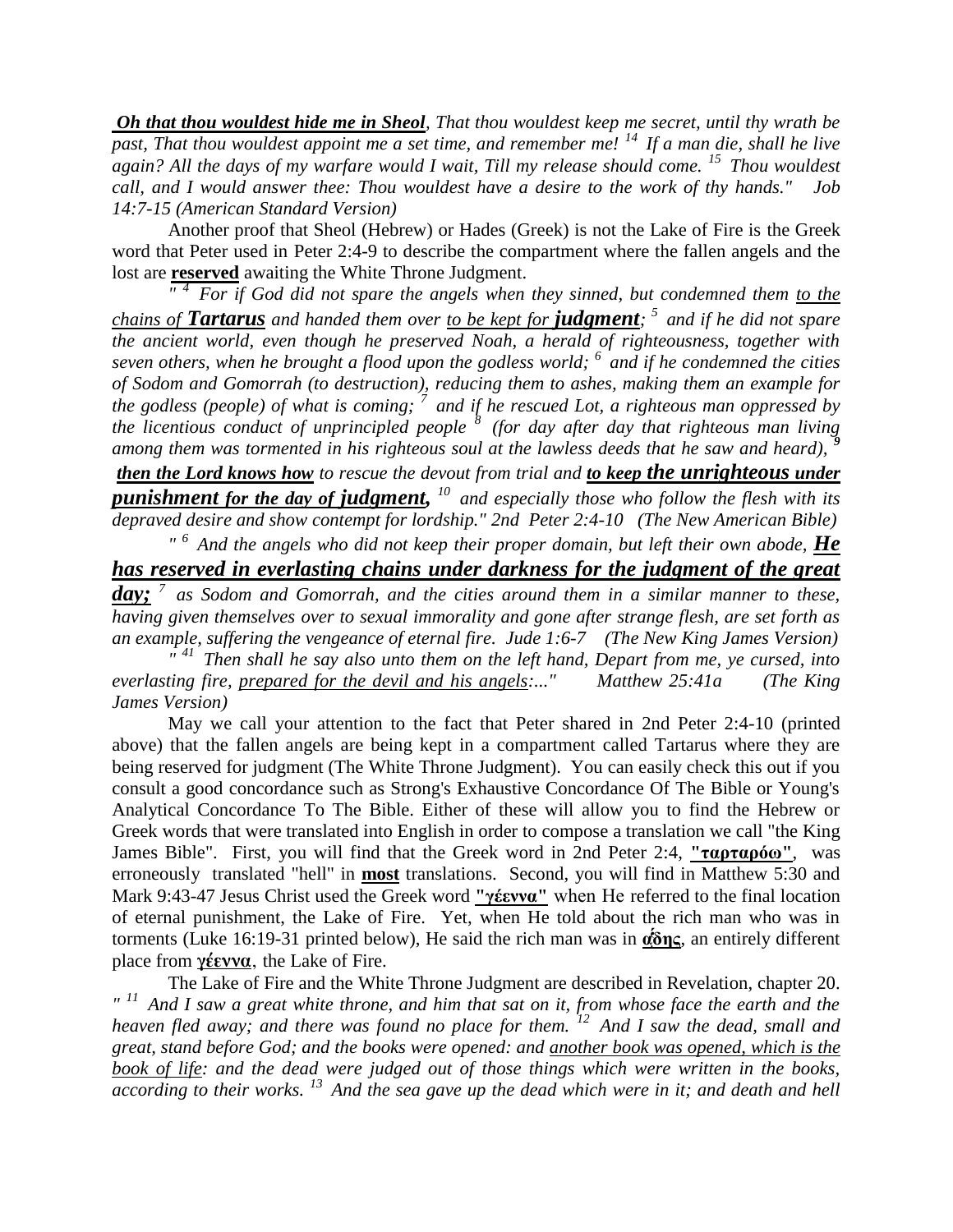*Oh that thou wouldest hide me in Sheol, That thou wouldest keep me secret, until thy wrath be past, That thou wouldest appoint me a set time, and remember me! <sup>14</sup>If a man die, shall he live again? All the days of my warfare would I wait, Till my release should come. <sup>15</sup>Thou wouldest call, and I would answer thee: Thou wouldest have a desire to the work of thy hands." Job 14:7-15 (American Standard Version)* 

Another proof that Sheol (Hebrew) or Hades (Greek) is not the Lake of Fire is the Greek word that Peter used in Peter 2:4-9 to describe the compartment where the fallen angels and the lost are **reserved** awaiting the White Throne Judgment.

<sup>*4</sup></sup> For if God did not spare the angels when they sinned, but condemned them to the</sup> chains of Tartarus and handed them over to be kept for judgment; <sup>5</sup>and if he did not spare the ancient world, even though he preserved Noah, a herald of righteousness, together with seven others, when he brought a flood upon the godless world; <sup>6</sup>and if he condemned the cities of Sodom and Gomorrah (to destruction), reducing them to ashes, making them an example for the godless (people) of what is coming; <sup>7</sup>and if he rescued Lot, a righteous man oppressed by the licentious conduct of unprincipled people <sup>8</sup>(for day after day that righteous man living*  among them was tormented in his righteous soul at the lawless deeds that he saw and heard),

*then the Lord knows how to rescue the devout from trial and to keep the unrighteous under punishment for the day of judgment, <sup>10</sup>and especially those who follow the flesh with its depraved desire and show contempt for lordship." 2nd Peter 2:4-10 (The New American Bible) " <sup>6</sup>And the angels who did not keep their proper domain, but left their own abode, He* 

*has reserved in everlasting chains under darkness for the judgment of the great day; <sup>7</sup>as Sodom and Gomorrah, and the cities around them in a similar manner to these, having given themselves over to sexual immorality and gone after strange flesh, are set forth as an example, suffering the vengeance of eternal fire. Jude 1:6-7 (The New King James Version)*

<sup>*41</sup></sup> Then shall he say also unto them on the left hand, Depart from me, ye cursed, into</sup> everlasting fire, prepared for the devil and his angels:..." Matthew 25:41a (The King James Version)*

May we call your attention to the fact that Peter shared in 2nd Peter 2:4-10 (printed above) that the fallen angels are being kept in a compartment called Tartarus where they are being reserved for judgment (The White Throne Judgment). You can easily check this out if you consult a good concordance such as Strong's Exhaustive Concordance Of The Bible or Young's Analytical Concordance To The Bible. Either of these will allow you to find the Hebrew or Greek words that were translated into English in order to compose a translation we call "the King James Bible". First, you will find that the Greek word in 2nd Peter 2:4, **"ταρταρόω"**, was erroneously translated "hell" in **most** translations. Second, you will find in Matthew 5:30 and Mark 9:43-47 Jesus Christ used the Greek word **"γέεννα"** when He referred to the final location of eternal punishment, the Lake of Fire. Yet, when He told about the rich man who was in torments (Luke 16:19-31 printed below), He said the rich man was in **αδης**, an entirely different place from **γέεννα**, the Lake of Fire.

The Lake of Fire and the White Throne Judgment are described in Revelation, chapter 20. *" <sup>11</sup>And I saw a great white throne, and him that sat on it, from whose face the earth and the heaven fled away; and there was found no place for them. <sup>12</sup>And I saw the dead, small and great, stand before God; and the books were opened: and another book was opened, which is the book of life: and the dead were judged out of those things which were written in the books, according to their works. <sup>13</sup>And the sea gave up the dead which were in it; and death and hell*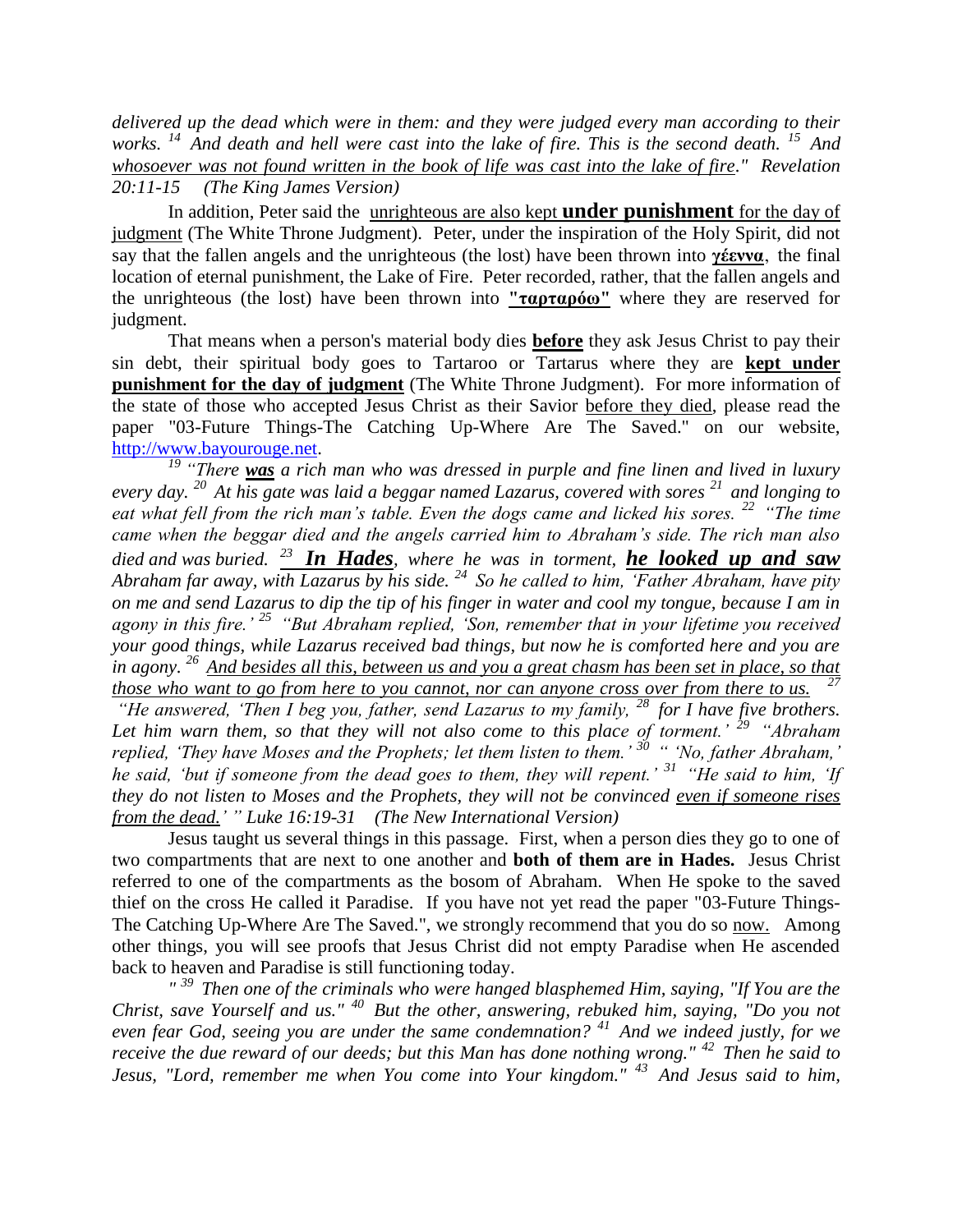*delivered up the dead which were in them: and they were judged every man according to their works. <sup>14</sup>And death and hell were cast into the lake of fire. This is the second death. <sup>15</sup>And whosoever was not found written in the book of life was cast into the lake of fire." Revelation 20:11-15 (The King James Version)*

In addition, Peter said the unrighteous are also kept **under punishment** for the day of judgment (The White Throne Judgment). Peter, under the inspiration of the Holy Spirit, did not say that the fallen angels and the unrighteous (the lost) have been thrown into **γέεννα**, the final location of eternal punishment, the Lake of Fire. Peter recorded, rather, that the fallen angels and the unrighteous (the lost) have been thrown into **"ταρταρόω"** where they are reserved for judgment.

That means when a person's material body dies **before** they ask Jesus Christ to pay their sin debt, their spiritual body goes to Tartaroo or Tartarus where they are **kept under punishment for the day of judgment** (The White Throne Judgment). For more information of the state of those who accepted Jesus Christ as their Savior before they died, please read the paper "03-Future Things-The Catching Up-Where Are The Saved." on our website, [http://www.bayourouge.net.](http://www.bayourouge.net/)

*<sup>19</sup> "There was a rich man who was dressed in purple and fine linen and lived in luxury every day. <sup>20</sup>At his gate was laid a beggar named Lazarus, covered with sores <sup>21</sup>and longing to eat what fell from the rich man's table. Even the dogs came and licked his sores. <sup>22</sup>"The time came when the beggar died and the angels carried him to Abraham's side. The rich man also died and was buried. <sup>23</sup>In Hades, where he was in torment, he looked up and saw Abraham far away, with Lazarus by his side. <sup>24</sup>So he called to him, 'Father Abraham, have pity on me and send Lazarus to dip the tip of his finger in water and cool my tongue, because I am in agony in this fire.' <sup>25</sup>"But Abraham replied, 'Son, remember that in your lifetime you received your good things, while Lazarus received bad things, but now he is comforted here and you are in agony. <sup>26</sup>And besides all this, between us and you a great chasm has been set in place, so that those who want to go from here to you cannot, nor can anyone cross over from there to us. 27* 

*"He answered, 'Then I beg you, father, send Lazarus to my family, <sup>28</sup> for I have five brothers. Let him warn them, so that they will not also come to this place of torment.' <sup>29</sup>"Abraham replied, 'They have Moses and the Prophets; let them listen to them.' <sup>30</sup>" 'No, father Abraham,' he said, 'but if someone from the dead goes to them, they will repent.' <sup>31</sup>"He said to him, 'If they do not listen to Moses and the Prophets, they will not be convinced even if someone rises from the dead.' " Luke 16:19-31 (The New International Version)*

Jesus taught us several things in this passage. First, when a person dies they go to one of two compartments that are next to one another and **both of them are in Hades.** Jesus Christ referred to one of the compartments as the bosom of Abraham*.* When He spoke to the saved thief on the cross He called it Paradise. If you have not yet read the paper "03-Future Things-The Catching Up-Where Are The Saved.", we strongly recommend that you do so now. Among other things, you will see proofs that Jesus Christ did not empty Paradise when He ascended back to heaven and Paradise is still functioning today.

*" <sup>39</sup>Then one of the criminals who were hanged blasphemed Him, saying, "If You are the Christ, save Yourself and us." <sup>40</sup>But the other, answering, rebuked him, saying, "Do you not even fear God, seeing you are under the same condemnation? <sup>41</sup>And we indeed justly, for we receive the due reward of our deeds; but this Man has done nothing wrong." <sup>42</sup>Then he said to Jesus, "Lord, remember me when You come into Your kingdom." <sup>43</sup>And Jesus said to him,*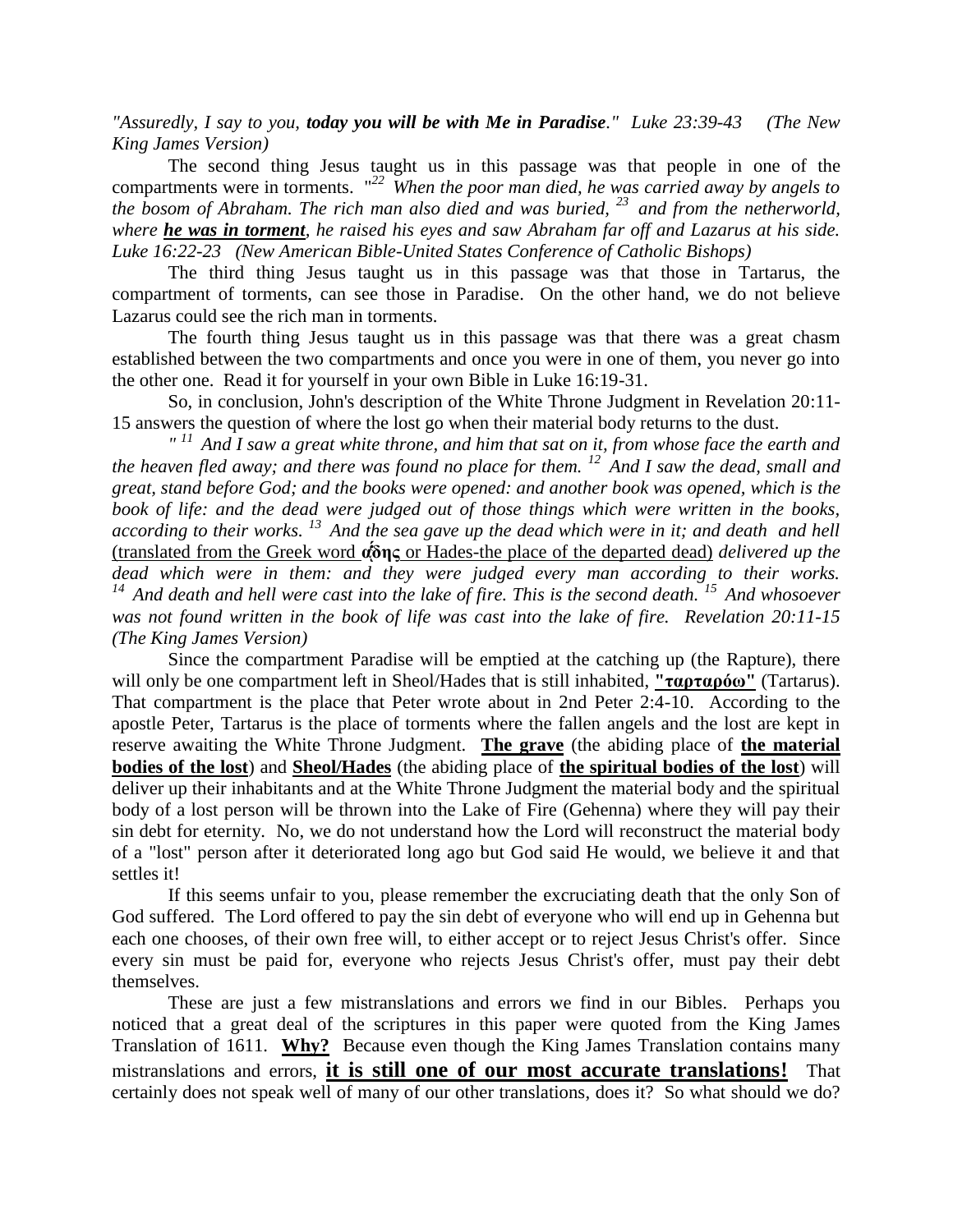*"Assuredly, I say to you, today you will be with Me in Paradise." Luke 23:39-43 (The New King James Version)*

The second thing Jesus taught us in this passage was that people in one of the compartments were in torments. "*<sup>22</sup>When the poor man died, he was carried away by angels to the bosom of Abraham. The rich man also died and was buried, <sup>23</sup>and from the netherworld, where he was in torment, he raised his eyes and saw Abraham far off and Lazarus at his side. Luke 16:22-23 (New American Bible-United States Conference of Catholic Bishops)* 

The third thing Jesus taught us in this passage was that those in Tartarus, the compartment of torments, can see those in Paradise. On the other hand, we do not believe Lazarus could see the rich man in torments.

The fourth thing Jesus taught us in this passage was that there was a great chasm established between the two compartments and once you were in one of them, you never go into the other one. Read it for yourself in your own Bible in Luke 16:19-31.

So, in conclusion, John's description of the White Throne Judgment in Revelation 20:11- 15 answers the question of where the lost go when their material body returns to the dust.

*" <sup>11</sup>And I saw a great white throne, and him that sat on it, from whose face the earth and the heaven fled away; and there was found no place for them.* <sup>12</sup> And I saw the dead, small and *great, stand before God; and the books were opened: and another book was opened, which is the book of life: and the dead were judged out of those things which were written in the books, according to their works. <sup>13</sup>And the sea gave up the dead which were in it; and death and hell*  (translated from the Greek word **α** or Hades-the place of the departed dead) *delivered up the dead which were in them: and they were judged every man according to their works. <sup>14</sup>And death and hell were cast into the lake of fire. This is the second death. <sup>15</sup>And whosoever was not found written in the book of life was cast into the lake of fire. Revelation 20:11-15 (The King James Version)*

Since the compartment Paradise will be emptied at the catching up (the Rapture), there will only be one compartment left in Sheol/Hades that is still inhabited, **"ταρταρόω"** (Tartarus). That compartment is the place that Peter wrote about in 2nd Peter 2:4-10. According to the apostle Peter, Tartarus is the place of torments where the fallen angels and the lost are kept in reserve awaiting the White Throne Judgment. **The grave** (the abiding place of **the material bodies of the lost**) and **Sheol/Hades** (the abiding place of **the spiritual bodies of the lost**) will deliver up their inhabitants and at the White Throne Judgment the material body and the spiritual body of a lost person will be thrown into the Lake of Fire (Gehenna) where they will pay their sin debt for eternity. No, we do not understand how the Lord will reconstruct the material body of a "lost" person after it deteriorated long ago but God said He would, we believe it and that settles it!

If this seems unfair to you, please remember the excruciating death that the only Son of God suffered. The Lord offered to pay the sin debt of everyone who will end up in Gehenna but each one chooses, of their own free will, to either accept or to reject Jesus Christ's offer. Since every sin must be paid for, everyone who rejects Jesus Christ's offer, must pay their debt themselves.

These are just a few mistranslations and errors we find in our Bibles. Perhaps you noticed that a great deal of the scriptures in this paper were quoted from the King James Translation of 1611. **Why?** Because even though the King James Translation contains many mistranslations and errors, **it is still one of our most accurate translations!** That certainly does not speak well of many of our other translations, does it? So what should we do?